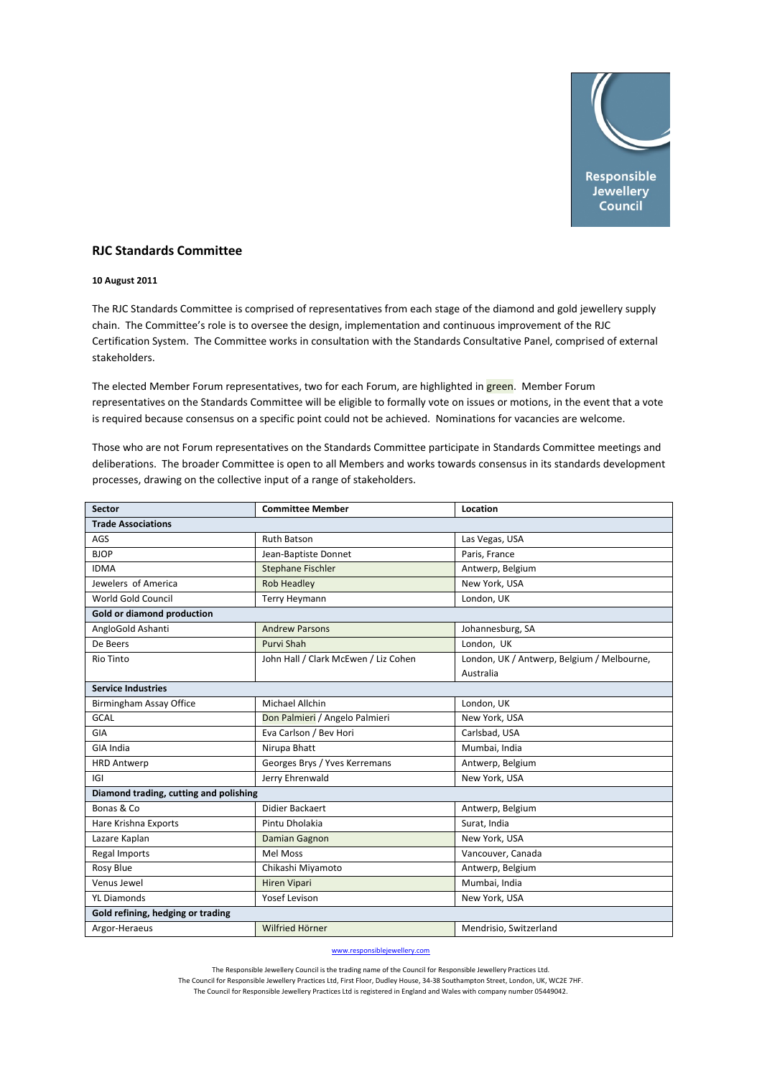

## **RJC Standards Committee**

## **10 August 2011**

The RJC Standards Committee is comprised of representatives from each stage of the diamond and gold jewellery supply chain. The Committee's role is to oversee the design, implementation and continuous improvement of the RJC Certification System. The Committee works in consultation with the Standards Consultative Panel, comprised of external stakeholders.

The elected Member Forum representatives, two for each Forum, are highlighted in green. Member Forum representatives on the Standards Committee will be eligible to formally vote on issues or motions, in the event that a vote is required because consensus on a specific point could not be achieved. Nominations for vacancies are welcome.

Those who are not Forum representatives on the Standards Committee participate in Standards Committee meetings and deliberations. The broader Committee is open to all Members and works towards consensus in its standards development processes, drawing on the collective input of a range of stakeholders.

| <b>Sector</b>                          | <b>Committee Member</b>              | Location                                   |  |
|----------------------------------------|--------------------------------------|--------------------------------------------|--|
| <b>Trade Associations</b>              |                                      |                                            |  |
| AGS                                    | <b>Ruth Batson</b>                   | Las Vegas, USA                             |  |
| <b>BJOP</b>                            | Jean-Baptiste Donnet                 | Paris, France                              |  |
| <b>IDMA</b>                            | <b>Stephane Fischler</b>             | Antwerp, Belgium                           |  |
| Jewelers of America                    | <b>Rob Headley</b>                   | New York, USA                              |  |
| World Gold Council                     | <b>Terry Heymann</b>                 | London, UK                                 |  |
| Gold or diamond production             |                                      |                                            |  |
| AngloGold Ashanti                      | <b>Andrew Parsons</b>                | Johannesburg, SA                           |  |
| De Beers                               | Purvi Shah                           | London, UK                                 |  |
| Rio Tinto                              | John Hall / Clark McEwen / Liz Cohen | London, UK / Antwerp, Belgium / Melbourne, |  |
|                                        |                                      | Australia                                  |  |
| <b>Service Industries</b>              |                                      |                                            |  |
| <b>Birmingham Assay Office</b>         | <b>Michael Allchin</b>               | London, UK                                 |  |
| <b>GCAL</b>                            | Don Palmieri / Angelo Palmieri       | New York, USA                              |  |
| GIA                                    | Eva Carlson / Bev Hori               | Carlsbad, USA                              |  |
| <b>GIA India</b>                       | Nirupa Bhatt                         | Mumbai, India                              |  |
| <b>HRD Antwerp</b>                     | Georges Brys / Yves Kerremans        | Antwerp, Belgium                           |  |
| IGI                                    | Jerry Ehrenwald                      | New York, USA                              |  |
| Diamond trading, cutting and polishing |                                      |                                            |  |
| Bonas & Co                             | Didier Backaert                      | Antwerp, Belgium                           |  |
| Hare Krishna Exports                   | Pintu Dholakia                       | Surat, India                               |  |
| Lazare Kaplan                          | Damian Gagnon                        | New York, USA                              |  |
| Regal Imports                          | <b>Mel Moss</b>                      | Vancouver, Canada                          |  |
| Rosy Blue                              | Chikashi Miyamoto                    | Antwerp, Belgium                           |  |
| Venus Jewel                            | <b>Hiren Vipari</b>                  | Mumbai, India                              |  |
| <b>YL Diamonds</b>                     | Yosef Levison                        | New York, USA                              |  |
| Gold refining, hedging or trading      |                                      |                                            |  |
| Argor-Heraeus                          | Wilfried Hörner                      | Mendrisio, Switzerland                     |  |

www.responsiblejewellery.com

The Responsible Jewellery Council is the trading name of the Council for Responsible Jewellery Practices Ltd. The Council for Responsible Jewellery Practices Ltd, First Floor, Dudley House, 34‐38 Southampton Street, London, UK, WC2E 7HF.

The Council for Responsible Jewellery Practices Ltd is registered in England and Wales with company number 05449042.